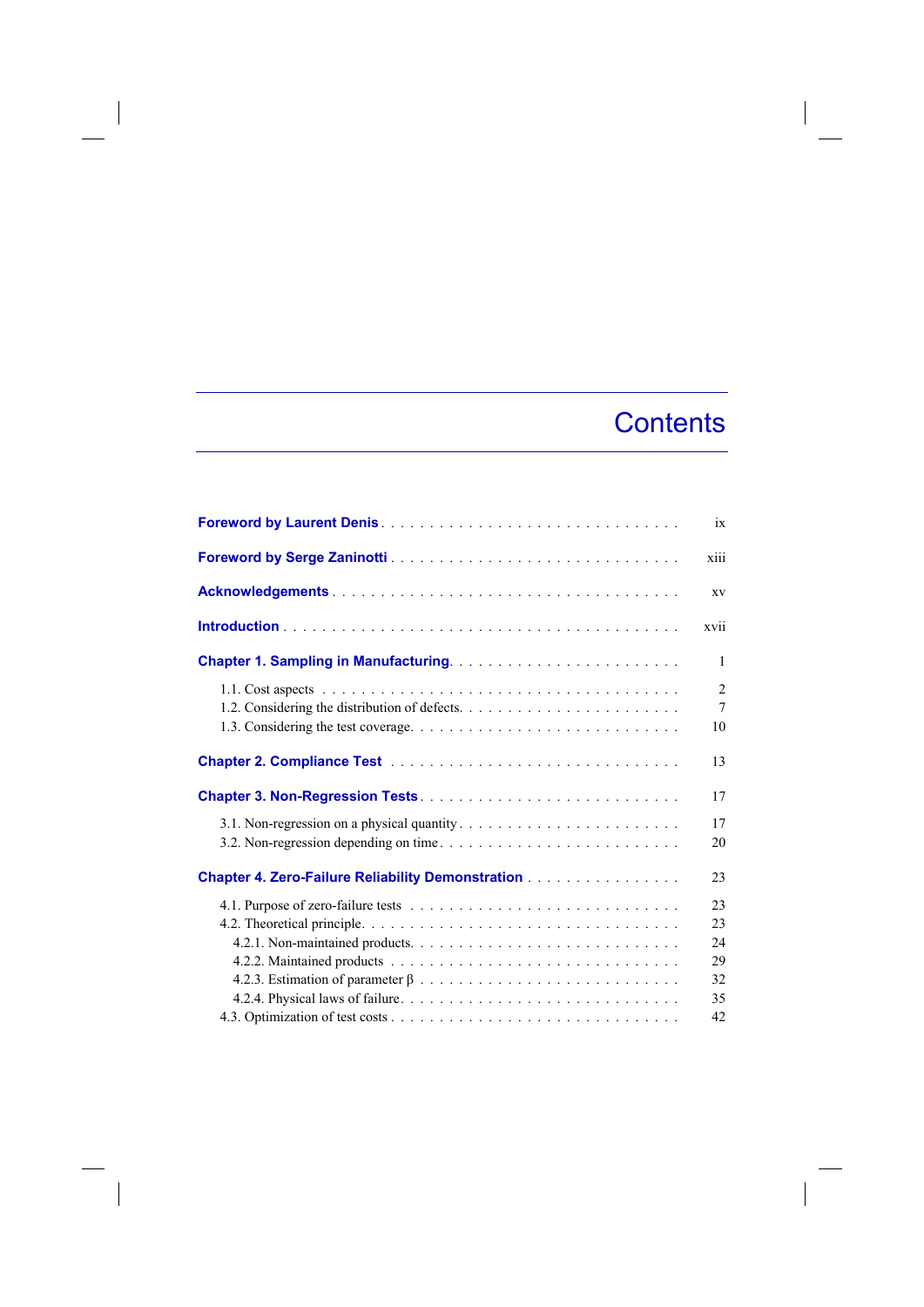## **Contents**

 $\overline{\phantom{a}}$ 

|                                                          | 1X                                      |
|----------------------------------------------------------|-----------------------------------------|
|                                                          | xiii                                    |
|                                                          | XV                                      |
|                                                          | xvii                                    |
|                                                          | 1                                       |
|                                                          | $\overline{2}$<br>$7\phantom{.0}$<br>10 |
|                                                          | 13                                      |
|                                                          | 17                                      |
|                                                          | 17<br>20                                |
| <b>Chapter 4. Zero-Failure Reliability Demonstration</b> | 23                                      |
|                                                          | 23<br>23                                |
|                                                          | 24<br>29                                |
|                                                          | 32<br>35<br>42                          |

 $\begin{array}{c} \hline \end{array}$ 

 $\overline{\phantom{a}}$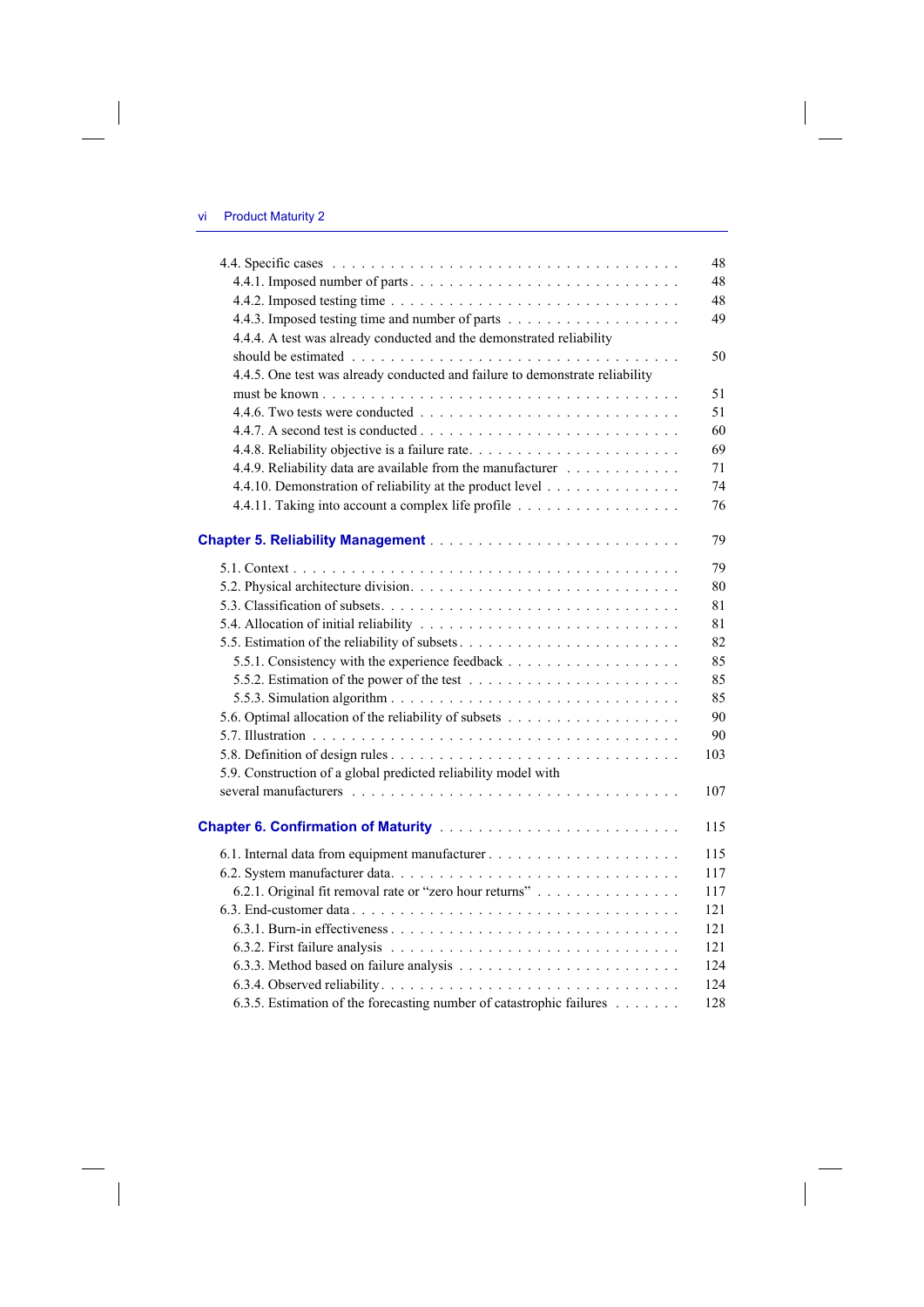$\overline{\phantom{a}}$ 

 $\begin{array}{c} \hline \end{array}$ 

|                                                                              | 48  |
|------------------------------------------------------------------------------|-----|
|                                                                              | 48  |
|                                                                              | 48  |
|                                                                              | 49  |
| 4.4.4. A test was already conducted and the demonstrated reliability         |     |
|                                                                              | 50  |
| 4.4.5. One test was already conducted and failure to demonstrate reliability |     |
|                                                                              | 51  |
|                                                                              | 51  |
|                                                                              | 60  |
|                                                                              | 69  |
| 4.4.9. Reliability data are available from the manufacturer                  | 71  |
| 4.4.10. Demonstration of reliability at the product level                    | 74  |
| 4.4.11. Taking into account a complex life profile                           | 76  |
|                                                                              | 79  |
|                                                                              | 79  |
|                                                                              | 80  |
|                                                                              | 81  |
|                                                                              | 81  |
|                                                                              | 82  |
|                                                                              | 85  |
|                                                                              | 85  |
|                                                                              | 85  |
|                                                                              | 90  |
|                                                                              | 90  |
|                                                                              | 103 |
| 5.9. Construction of a global predicted reliability model with               |     |
|                                                                              | 107 |
|                                                                              | 115 |
|                                                                              | 115 |
|                                                                              | 117 |
| 6.2.1. Original fit removal rate or "zero hour returns"                      | 117 |
|                                                                              | 121 |
|                                                                              | 121 |
|                                                                              | 121 |
|                                                                              | 124 |
|                                                                              | 124 |
| 6.3.5. Estimation of the forecasting number of catastrophic failures         | 128 |

 $\overline{\phantom{a}}$